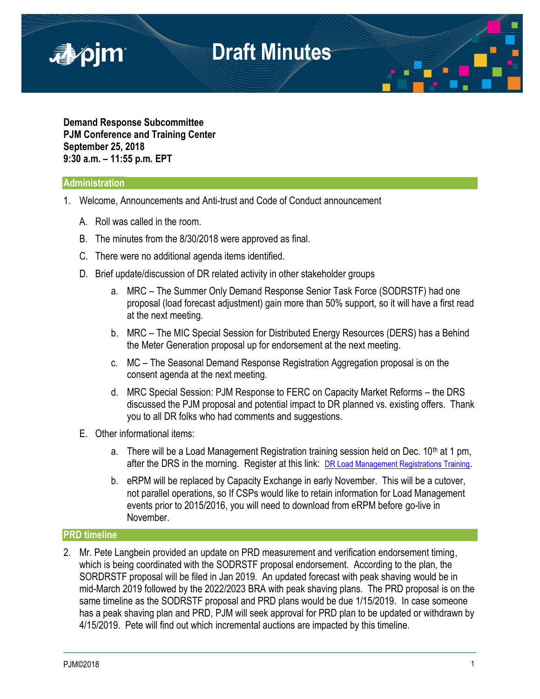

**Demand Response Subcommittee PJM Conference and Training Center September 25, 2018 9:30 a.m. – 11:55 p.m. EPT**

#### **Administration**

- 1. Welcome, Announcements and Anti-trust and Code of Conduct announcement
	- A. Roll was called in the room.
	- B. The minutes from the 8/30/2018 were approved as final.
	- C. There were no additional agenda items identified.
	- D. Brief update/discussion of DR related activity in other stakeholder groups
		- a. MRC The Summer Only Demand Response Senior Task Force (SODRSTF) had one proposal (load forecast adjustment) gain more than 50% support, so it will have a first read at the next meeting.
		- b. MRC The MIC Special Session for Distributed Energy Resources (DERS) has a Behind the Meter Generation proposal up for endorsement at the next meeting.
		- c. MC The Seasonal Demand Response Registration Aggregation proposal is on the consent agenda at the next meeting.
		- d. MRC Special Session: PJM Response to FERC on Capacity Market Reforms the DRS discussed the PJM proposal and potential impact to DR planned vs. existing offers. Thank you to all DR folks who had comments and suggestions.
	- E. Other informational items:
		- a. There will be a Load Management Registration training session held on Dec.  $10<sup>th</sup>$  at 1 pm, after the DRS in the morning. Register at this link: [DR Load Management Registrations Training](https://www.pjm.com/Calendar-Events/PJM-Calendars/Training-Events/2018/December/10/ip-dr-load-management.aspx).
		- b. eRPM will be replaced by Capacity Exchange in early November. This will be a cutover, not parallel operations, so If CSPs would like to retain information for Load Management events prior to 2015/2016, you will need to download from eRPM before go-live in November.

### **PRD timeline**

2. Mr. Pete Langbein provided an update on PRD measurement and verification endorsement timing, which is being coordinated with the SODRSTF proposal endorsement. According to the plan, the SORDRSTF proposal will be filed in Jan 2019. An updated forecast with peak shaving would be in mid-March 2019 followed by the 2022/2023 BRA with peak shaving plans. The PRD proposal is on the same timeline as the SODRSTF proposal and PRD plans would be due 1/15/2019. In case someone has a peak shaving plan and PRD, PJM will seek approval for PRD plan to be updated or withdrawn by 4/15/2019. Pete will find out which incremental auctions are impacted by this timeline.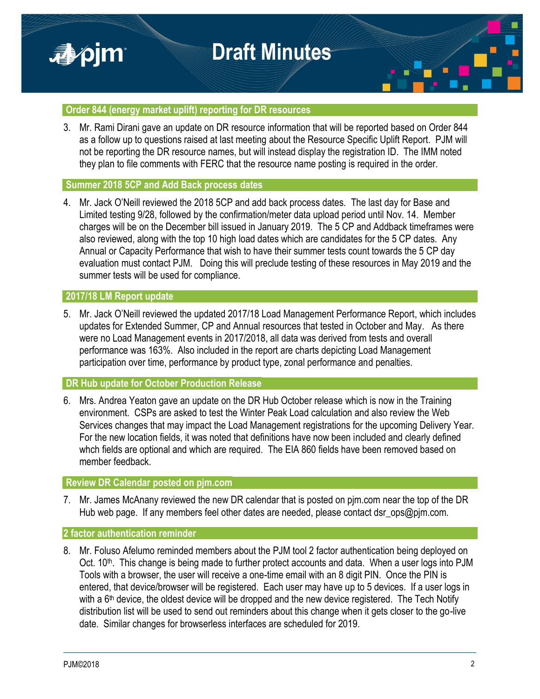



# **Order 844 (energy market uplift) reporting for DR resources**

3. Mr. Rami Dirani gave an update on DR resource information that will be reported based on Order 844 as a follow up to questions raised at last meeting about the Resource Specific Uplift Report. PJM will not be reporting the DR resource names, but will instead display the registration ID. The IMM noted they plan to file comments with FERC that the resource name posting is required in the order.

# **Summer 2018 5CP and Add Back process dates**

4. Mr. Jack O'Neill reviewed the 2018 5CP and add back process dates. The last day for Base and Limited testing 9/28, followed by the confirmation/meter data upload period until Nov. 14. Member charges will be on the December bill issued in January 2019. The 5 CP and Addback timeframes were also reviewed, along with the top 10 high load dates which are candidates for the 5 CP dates. Any Annual or Capacity Performance that wish to have their summer tests count towards the 5 CP day evaluation must contact PJM. Doing this will preclude testing of these resources in May 2019 and the summer tests will be used for compliance.

# **2017/18 LM Report update**

■pjm

5. Mr. Jack O'Neill reviewed the updated 2017/18 Load Management Performance Report, which includes updates for Extended Summer, CP and Annual resources that tested in October and May. As there were no Load Management events in 2017/2018, all data was derived from tests and overall performance was 163%. Also included in the report are charts depicting Load Management participation over time, performance by product type, zonal performance and penalties.

#### **DR Hub update for October Production Release**

6. Mrs. Andrea Yeaton gave an update on the DR Hub October release which is now in the Training environment. CSPs are asked to test the Winter Peak Load calculation and also review the Web Services changes that may impact the Load Management registrations for the upcoming Delivery Year. For the new location fields, it was noted that definitions have now been included and clearly defined whch fields are optional and which are required. The EIA 860 fields have been removed based on member feedback.

## **Review DR Calendar posted on pjm.com**

7. Mr. James McAnany reviewed the new DR calendar that is posted on pjm.com near the top of the DR Hub web page. If any members feel other dates are needed, please contact dsr\_ops@pjm.com.

# **2 factor authentication reminder**

8. Mr. Foluso Afelumo reminded members about the PJM tool 2 factor authentication being deployed on Oct. 10<sup>th</sup>. This change is being made to further protect accounts and data. When a user logs into PJM Tools with a browser, the user will receive a one-time email with an 8 digit PIN. Once the PIN is entered, that device/browser will be registered. Each user may have up to 5 devices. If a user logs in with a  $6<sup>th</sup>$  device, the oldest device will be dropped and the new device registered. The Tech Notify distribution list will be used to send out reminders about this change when it gets closer to the go-live date. Similar changes for browserless interfaces are scheduled for 2019.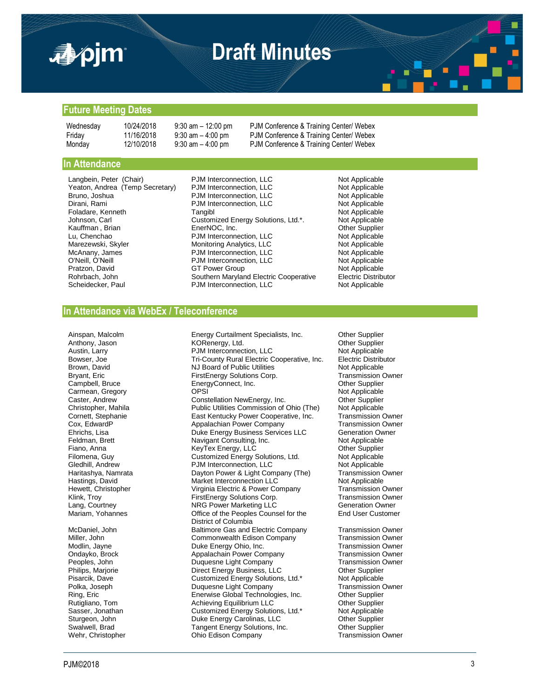

# **Draft Minutes**



#### **Future Meeting Dates**

Wednesday 10/24/2018 9:30 am - 12:00 pm PJM Conference & Training Center/ Webex Friday 11/16/2018 9:30 am – 4:00 pm PJM Conference & Training Center/ Webex Monday 12/10/2018 9:30 am – 4:00 pm PJM Conference & Training Center/ Webex

#### **In Attendance**

Dirani, Rami **PJM Interconnection**, LLC

Langbein, Peter (Chair) PJM Interconnection, LLC Not Applicable<br>
Yeaton. Andrea (Temp Secretary) PJM Interconnection, LLC Not Applicable Yeaton, Andrea (Temp Secretary) PJM Interconnection, LLC **Not Applicable**<br>Bruno, Joshua **PJM Interconnection, LLC** Not Applicable PJM Interconnection, LLC<br>
PJM Interconnection, LLC<br>
Not Applicable Foladare, Kenneth **Tangibl** Tangibl Tangibl Tangibl Not Applicable<br>Johnson, Carl Customized Energy Solutions, Ltd.\*. Not Applicable Customized Energy Solutions, Ltd.\*. Not Applicable<br>
EnerNOC, Inc. Compared Custom Compared Custom Custom Custom Custom Custom Custom Custom Custom Custom Custom C Kauffman , Brian **EnerNOC, Inc.** Communist Communist Communist Communist Communist Communist Communist Communist<br>
Equation Energy Communist Communist Political PJM Interconnection, LLC Communist Communist Not Applicable PJM Interconnection, LLC Marezewski, Skyler **Marezewski, Skyler Monitoring Analytics, LLC** Not Applicable<br>McAnany, James **Marews Access Access** PJM Interconnection, LLC McAnany, James **PJM Interconnection, LLC** Not Applicable<br>
O'Neill, O'Neill PJM Interconnection, LLC Not Applicable O'Neill, O'Neill **Canada Example 2018** PJM Interconnection, LLC **Not Applicable** Pratzon, David **GT Power Group** Rohrbach, John Southern Maryland Electric Cooperative Electric Distributor<br>Scheidecker, Paul Southern PJM Interconnection, LLC Not Applicable PJM Interconnection, LLC

#### **In Attendance via WebEx / Teleconference**

Carmean, Gregory

Ainspan, Malcolm **Energy Curtailment Specialists, Inc.** Other Supplier<br>
Anthony. Jason **Example CONTAING CONTAINGLY** Computer Supplier Anthony, Jason KORenergy, Ltd. Other Supplier Austin, Larry **National Austine Commentainers** PJM Interconnection, LLC Not Applicable<br>Bowser, Joe **Note Applicable Commentainers** Tri-County Rural Electric Cooperative, Inc. Belectric Distributor Tri-County Rural Electric Cooperative, Inc. Brown, David NJ Board of Public Utilities Not Applicable Bryant, Eric FirstEnergy Solutions Corp.<br>
Campbell, Bruce FirstEnergy Connect, Inc. EnergyConnect, Inc. Campbell, Bruce EnergyConnect, Inc. Connection of the Supplier OPSI Caster, Andrew **Constellation NewEnergy, Inc.** Other Supplier<br>Christopher, Mahila **Constellation Commission of Ohio (The)** Not Applicable Christopher, Mahila **Nahila Christopher, Mahila Bublic Utilities Commission of Ohio (The)** Not Applicable<br>Cornett, Stephanie **National State Commission Container** Cooperative, Inc. Transmission Owner Cornett, Stephanie **East Kentucky Power Cooperative, Inc.** Transmission Owner Cox, EdwardP and Coxess Appelachian Power Company Cox, EdwardP **Appalachian Power Company Company**<br>
Ehrichs, Lisa **Appalachian Ouke Energy Business Servic** Duke Energy Business Services LLC Generation Owner Feldman, Brett Navigant Consulting, Inc. Not Applicable Fiano, Anna KeyTex Energy, LLC Other Supplier Filomena, Guy **Customized Energy Solutions, Ltd.** Not Applicable<br>
Gledhill, Andrew **Customized Energy Solutions, Ltd.** Not Applicable PJM Interconnection, LLC Haritashya, Namrata Dayton Power & Light Company (The) Transmission Owner<br>
Hastings, David Market Interconnection LLC Not Applicable Hastings, David Market Interconnection LLC Market Interconnection LLC Not Applicable<br>Hewett, Christopher Market Virginia Electric & Power Company Transmission Owner Virginia Electric & Power Company Klink, Troy **FirstEnergy Solutions Corp.** Transmission Owner Lang, Courtney **NRG Power Marketing LLC** Generation Owner<br>
Mariam, Yohannes **National Community Office of the Peoples Counsel for the** End User Custome Office of the Peoples Counsel for the District of Columbia McDaniel, John **Baltimore Gas and Electric Company** Transmission Owner<br>Miller, John Baltimore Commonwealth Edison Company Transmission Owner Miller, John Commonwealth Edison Company Transmission Owner<br>Modlin, Jayne Commonwealth Energy Ohio, Inc. Transmission Owner Duke Energy Ohio, Inc. Ondayko, Brock **Appalachain Power Company** Transmission Owner<br>
Peoples. John **Company Transmission Owner** Peoples. John Transmission Owner Peoples, John **Duquesne Light Company**<br>
Philips, Marjorie **National Company Direct Energy Business**, Li Philips, Marjorie **Direct Energy Business, LLC** Other Supplier<br>Pisarcik, Dave **Direct Energy Solutions, Ltd.\*** Not Applicable Customized Energy Solutions, Ltd.\* Polka, Joseph Duquesne Light Company Transmission Owner Ring, Eric Enerwise Global Technologies, Inc. Other Supplier Rutigliano, Tom **Achieving Equilibrium LLC** Communist Communist Communist Communist Communist Communist Communist<br>
Sasser, Jonathan Customized Energy Solutions, Ltd.\* Not Applicable Customized Energy Solutions, Ltd.\* Sturgeon, John **Sturgeon, Duke Energy Carolinas, LLC** Cher Supplier<br>Swalwell, Brad **Chergy Carolinas, Container Solutions**, Inc. Cher Supplier Swalwell, Brad Trament Energy Solutions, Inc. Solutions, Other Supplier<br>
Wehr, Christopher Chio Edison Company Transmission Owner Ohio Edison Company

End User Customer